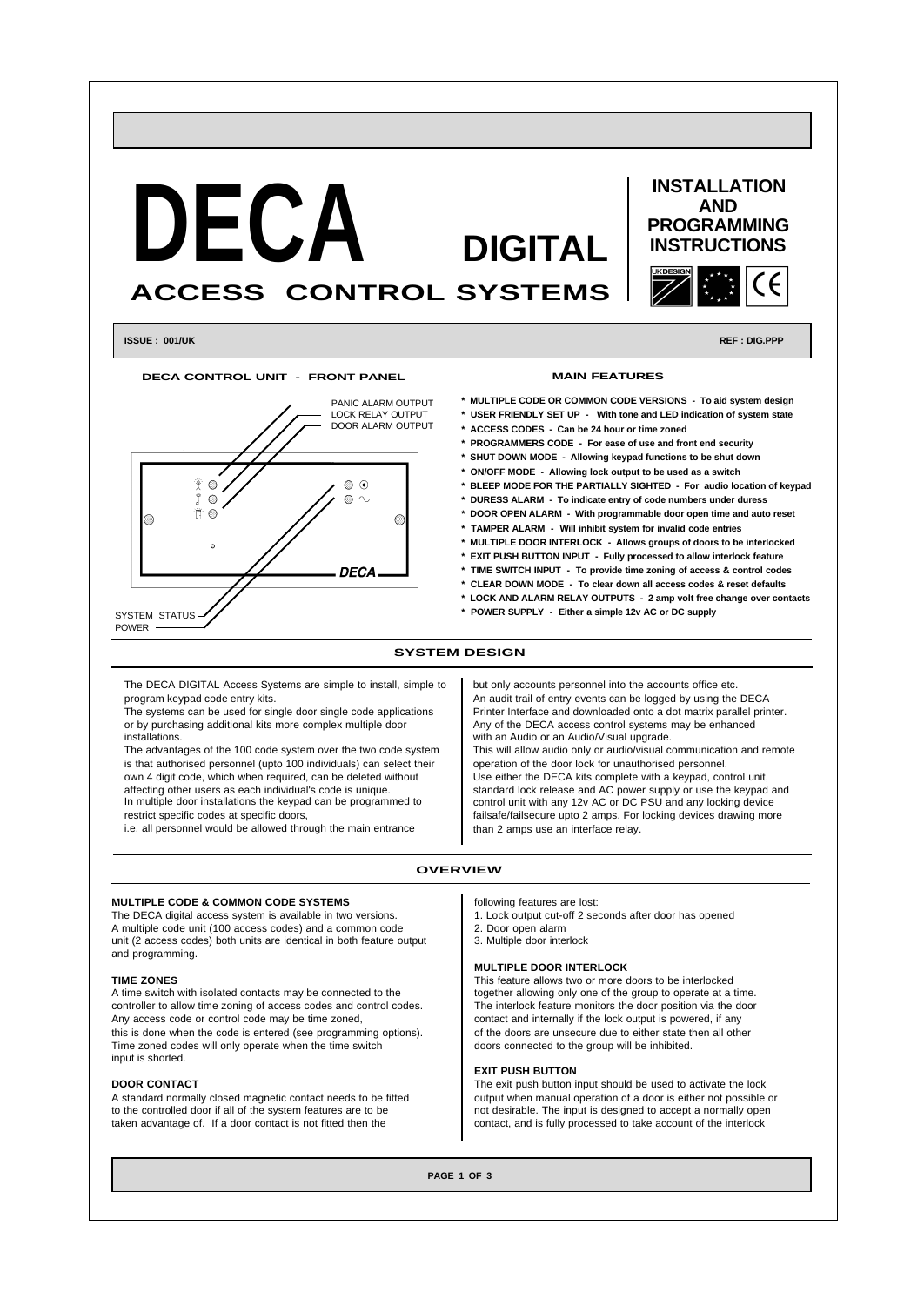

**\* TIME SWITCH INPUT - To provide time zoning of access & control codes**

- **\* CLEAR DOWN MODE To clear down all access codes & reset defaults**
- **\* LOCK AND ALARM RELAY OUTPUTS 2 amp volt free change over contacts**
- **\* POWER SUPPLY Either a simple 12v AC or DC supply**

# **SYSTEM DESIGN**

The DECA DIGITAL Access Systems are simple to install, simple to program keypad code entry kits.

**DFCA** 

The systems can be used for single door single code applications or by purchasing additional kits more complex multiple door installations.

The advantages of the 100 code system over the two code system is that authorised personnel (upto 100 individuals) can select their own 4 digit code, which when required, can be deleted without affecting other users as each individual's code is unique. In multiple door installations the keypad can be programmed to restrict specific codes at specific doors,

i.e. all personnel would be allowed through the main entrance

but only accounts personnel into the accounts office etc. An audit trail of entry events can be logged by using the DECA Printer Interface and downloaded onto a dot matrix parallel printer. Any of the DECA access control systems may be enhanced with an Audio or an Audio/Visual upgrade. This will allow audio only or audio/visual communication and remote

operation of the door lock for unauthorised personnel. Use either the DECA kits complete with a keypad, control unit, standard lock release and AC power supply or use the keypad and control unit with any 12v AC or DC PSU and any locking device failsafe/failsecure upto 2 amps. For locking devices drawing more than 2 amps use an interface relay.

### **OVERVIEW**

#### **MULTIPLE CODE & COMMON CODE SYSTEMS**

The DECA digital access system is available in two versions. A multiple code unit (100 access codes) and a common code unit (2 access codes) both units are identical in both feature output and programming.

## **TIME ZONES**

SYSTEM STATUS POWER

A time switch with isolated contacts may be connected to the controller to allow time zoning of access codes and control codes. Any access code or control code may be time zoned, this is done when the code is entered (see programming options). Time zoned codes will only operate when the time switch input is shorted.

### **DOOR CONTACT**

A standard normally closed magnetic contact needs to be fitted to the controlled door if all of the system features are to be taken advantage of. If a door contact is not fitted then the

following features are lost:

- 1. Lock output cut-off 2 seconds after door has opened
- 2. Door open alarm 3. Multiple door interlock
- 

### **MULTIPLE DOOR INTERLOCK**

This feature allows two or more doors to be interlocked together allowing only one of the group to operate at a time. The interlock feature monitors the door position via the door contact and internally if the lock output is powered, if any of the doors are unsecure due to either state then all other doors connected to the group will be inhibited.

## **EXIT PUSH BUTTON**

The exit push button input should be used to activate the lock output when manual operation of a door is either not possible or not desirable. The input is designed to accept a normally open contact, and is fully processed to take account of the interlock

**PAGE 1 OF 3**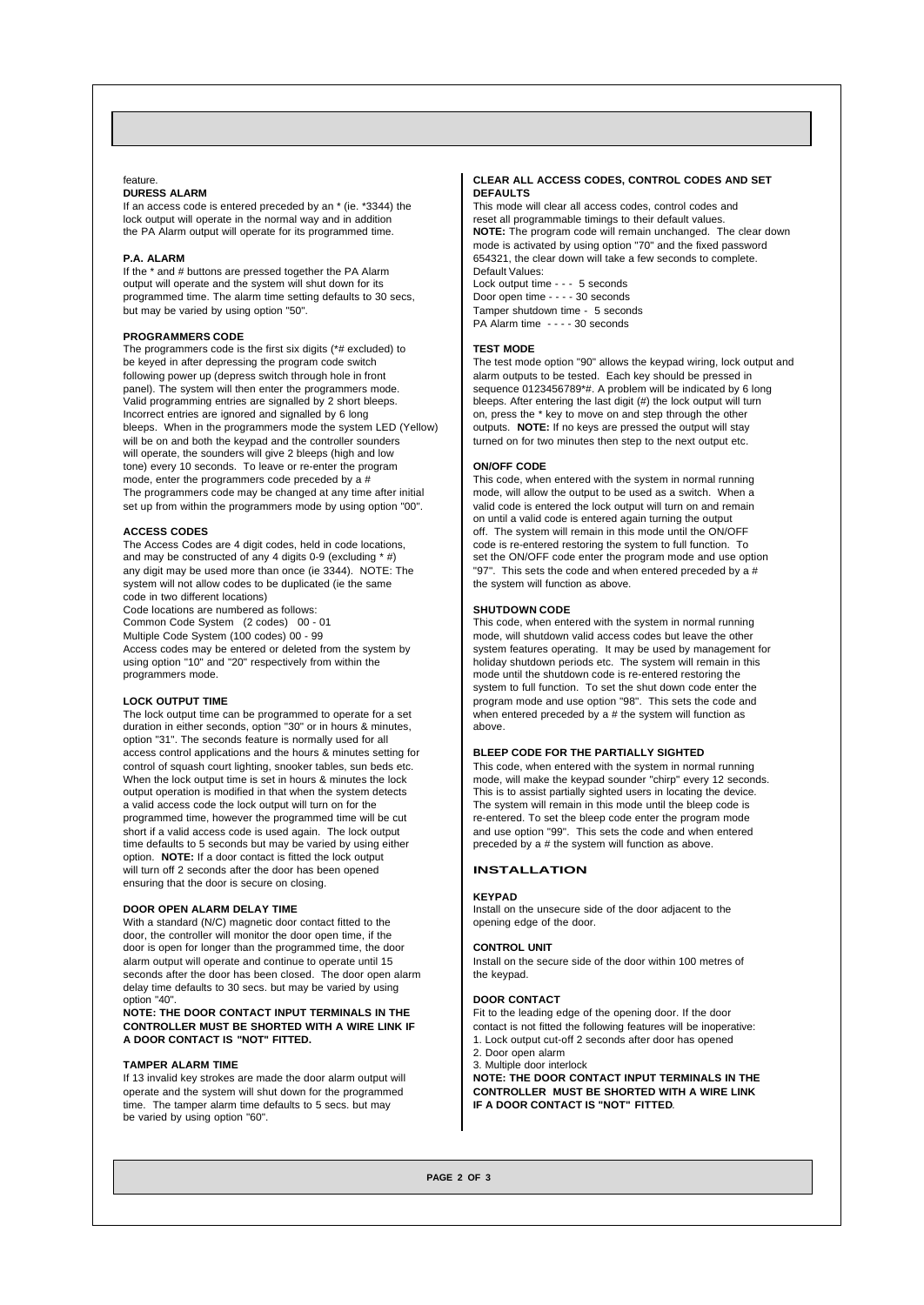# feature.

# **DURESS ALARM**

If an access code is entered preceded by an \* (ie. \*3344) the lock output will operate in the normal way and in addition the PA Alarm output will operate for its programmed time.

#### **P.A. ALARM**

If the \* and # buttons are pressed together the PA Alarm output will operate and the system will shut down for its programmed time. The alarm time setting defaults to 30 secs, but may be varied by using option "50".

# **PROGRAMMERS CODE**

The programmers code is the first six digits (\*# excluded) to be keyed in after depressing the program code switch following power up (depress switch through hole in front panel). The system will then enter the programmers mode. Valid programming entries are signalled by 2 short bleeps. Incorrect entries are ignored and signalled by 6 long bleeps. When in the programmers mode the system LED (Yellow) will be on and both the keypad and the controller sounders will operate, the sounders will give 2 bleeps (high and low tone) every 10 seconds. To leave or re-enter the program mode, enter the programmers code preceded by a # The programmers code may be changed at any time after initial set up from within the programmers mode by using option "00".

### **ACCESS CODES**

The Access Codes are 4 digit codes, held in code locations, and may be constructed of any 4 digits 0-9 (excluding  $*$  #) any digit may be used more than once (ie 3344). NOTE: The system will not allow codes to be duplicated (ie the same code in two different locations)

Code locations are numbered as follows: Common Code System (2 codes) 00 - 01

Multiple Code System (100 codes) 00 - 99 Access codes may be entered or deleted from the system by

using option "10" and "20" respectively from within the programmers mode.

# **LOCK OUTPUT TIME**

The lock output time can be programmed to operate for a set duration in either seconds, option "30" or in hours & minutes, option "31". The seconds feature is normally used for all access control applications and the hours & minutes setting for control of squash court lighting, snooker tables, sun beds etc. When the lock output time is set in hours & minutes the lock output operation is modified in that when the system detects a valid access code the lock output will turn on for the programmed time, however the programmed time will be cut short if a valid access code is used again. The lock output time defaults to 5 seconds but may be varied by using either option. **NOTE:** If a door contact is fitted the lock output will turn off 2 seconds after the door has been opened ensuring that the door is secure on closing.

# **DOOR OPEN ALARM DELAY TIME**

With a standard (N/C) magnetic door contact fitted to the door, the controller will monitor the door open time, if the door is open for longer than the programmed time, the door alarm output will operate and continue to operate until 15 seconds after the door has been closed. The door open alarm delay time defaults to 30 secs. but may be varied by using option "40".

**NOTE: THE DOOR CONTACT INPUT TERMINALS IN THE CONTROLLER MUST BE SHORTED WITH A WIRE LINK IF A DOOR CONTACT IS "NOT" FITTED.**

### **TAMPER ALARM TIME**

If 13 invalid key strokes are made the door alarm output will operate and the system will shut down for the programmed time. The tamper alarm time defaults to 5 secs. but may be varied by using option "60".

### **CLEAR ALL ACCESS CODES, CONTROL CODES AND SET DEFAULTS**

This mode will clear all access codes, control codes and reset all programmable timings to their default values **NOTE:** The program code will remain unchanged. The clear down mode is activated by using option "70" and the fixed password 654321, the clear down will take a few seconds to complete. Default Values: Lock output time - - - 5 seconds Door open time - - - - 30 seconds Tamper shutdown time - 5 seconds PA Alarm time - - - - 30 seconds

#### **TEST MODE**

The test mode option "90" allows the keypad wiring, lock output and alarm outputs to be tested. Each key should be pressed in sequence 0123456789\*#. A problem will be indicated by 6 long bleeps. After entering the last digit (#) the lock output will turn on, press the \* key to move on and step through the other outputs. **NOTE:** If no keys are pressed the output will stay turned on for two minutes then step to the next output etc.

# **ON/OFF CODE**

This code, when entered with the system in normal running mode, will allow the output to be used as a switch. When a valid code is entered the lock output will turn on and remain on until a valid code is entered again turning the output off. The system will remain in this mode until the ON/OFF code is re-entered restoring the system to full function. To set the ON/OFF code enter the program mode and use option "97". This sets the code and when entered preceded by a # the system will function as above.

#### **SHUTDOWN CODE**

This code, when entered with the system in normal running mode, will shutdown valid access codes but leave the other system features operating. It may be used by management for holiday shutdown periods etc. The system will remain in this mode until the shutdown code is re-entered restoring the system to full function. To set the shut down code enter the program mode and use option "98". This sets the code and when entered preceded by a # the system will function as above.

# **BLEEP CODE FOR THE PARTIALLY SIGHTED**

This code, when entered with the system in normal running mode, will make the keypad sounder "chirp" every 12 seconds. This is to assist partially sighted users in locating the device. The system will remain in this mode until the bleep code is re-entered. To set the bleep code enter the program mode and use option "99". This sets the code and when entered preceded by a # the system will function as above.

# **INSTALLATION**

#### **KEYPAD**

Install on the unsecure side of the door adjacent to the opening edge of the door.

### **CONTROL UNIT**

Install on the secure side of the door within 100 metres of the keypad.

#### **DOOR CONTACT**

Fit to the leading edge of the opening door. If the door contact is not fitted the following features will be inoperative:

- 1. Lock output cut-off 2 seconds after door has opened
- 2. Door open alarm
- 3. Multiple door interlock

**NOTE: THE DOOR CONTACT INPUT TERMINALS IN THE CONTROLLER MUST BE SHORTED WITH A WIRE LINK IF A DOOR CONTACT IS "NOT" FITTED**.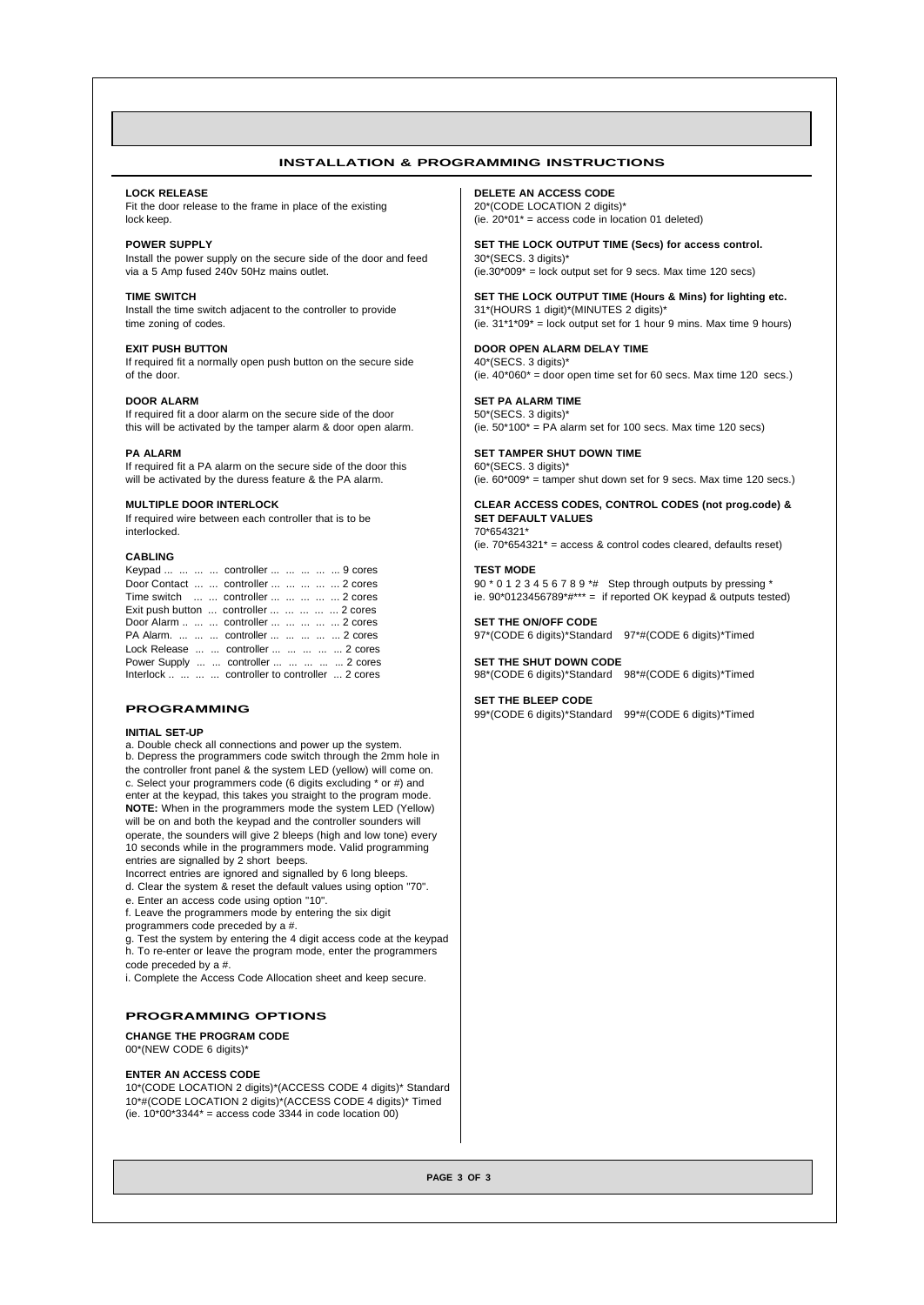# **INSTALLATION & PROGRAMMING INSTRUCTIONS**

#### **LOCK RELEASE**

Fit the door release to the frame in place of the existing lock keep.

**POWER SUPPLY** Install the power supply on the secure side of the door and feed via a 5 Amp fused 240v 50Hz mains outlet.

**TIME SWITCH** Install the time switch adjacent to the controller to provide time zoning of codes.

**EXIT PUSH BUTTON** If required fit a normally open push button on the secure side of the door.

**DOOR ALARM** If required fit a door alarm on the secure side of the door this will be activated by the tamper alarm & door open alarm.

#### **PA ALARM**

If required fit a PA alarm on the secure side of the door this will be activated by the duress feature & the PA alarm.

### **MULTIPLE DOOR INTERLOCK**

If required wire between each controller that is to be interlocked.

## **CABLING**

| Keypad     controller     9 cores               |
|-------------------------------------------------|
| Door Contact   controller      2 cores          |
| Time switch   controller      2 cores           |
| Exit push button  controller      2 cores       |
| Door Alarm    controller      2 cores           |
| PA Alarm.    controller      2 cores            |
| Lock Release   controller      2 cores          |
| Power Supply   controller      2 cores          |
| Interlock     controller to controller  2 cores |

### **PROGRAMMING**

#### **INITIAL SET-UP**

a. Double check all connections and power up the system. b. Depress the programmers code switch through the 2mm hole in the controller front panel & the system LED (yellow) will come on. c. Select your programmers code (6 digits excluding \* or #) and enter at the keypad, this takes you straight to the program mode. **NOTE:** When in the programmers mode the system LED (Yellow) will be on and both the keypad and the controller sounders will operate, the sounders will give 2 bleeps (high and low tone) every 10 seconds while in the programmers mode. Valid programming entries are signalled by 2 short beeps.

Incorrect entries are ignored and signalled by 6 long bleeps. d. Clear the system & reset the default values using option "70".

- e. Enter an access code using option "10".
- f. Leave the programmers mode by entering the six digit programmers code preceded by a #.

g. Test the system by entering the 4 digit access code at the keypad h. To re-enter or leave the program mode, enter the programmers code preceded by a #.

i. Complete the Access Code Allocation sheet and keep secure.

#### **PROGRAMMING OPTIONS**

**CHANGE THE PROGRAM CODE** 00\*(NEW CODE 6 digits)\*

#### **ENTER AN ACCESS CODE**

10\*(CODE LOCATION 2 digits)\*(ACCESS CODE 4 digits)\* Standard 10\*#(CODE LOCATION 2 digits)\*(ACCESS CODE 4 digits)\* Timed (ie.  $10*00*3344*$  = access code 3344 in code location 00)

**DELETE AN ACCESS CODE** 20\*(CODE LOCATION 2 digits)\* (ie.  $20*01*$  = access code in location 01 deleted)

**SET THE LOCK OUTPUT TIME (Secs) for access control.** 30\*(SECS. 3 digits)\*  $(ie.30*009* = lock output set for 9 secs. Max time 120 secs)$ 

**SET THE LOCK OUTPUT TIME (Hours & Mins) for lighting etc.** 31\*(HOURS 1 digit)\*(MINUTES 2 digits)\* (ie.  $31*1*09*$  = lock output set for 1 hour 9 mins. Max time 9 hours)

**DOOR OPEN ALARM DELAY TIME** 40\*(SECS. 3 digits)\* (ie.  $40*060* = 0$  door open time set for 60 secs. Max time 120 secs.)

**SET PA ALARM TIME** 50\*(SECS. 3 digits)\* (ie.  $50*100*$  = PA alarm set for 100 secs. Max time 120 secs)

**SET TAMPER SHUT DOWN TIME** 60\*(SECS. 3 digits)\* (ie.  $60*009*$  = tamper shut down set for 9 secs. Max time 120 secs.)

**CLEAR ACCESS CODES, CONTROL CODES (not prog.code) & SET DEFAULT VALUES** 70\*654321\* (ie.  $70*654321*$  = access & control codes cleared, defaults reset)

**TEST MODE** 90 \* 0 1 2 3 4 5 6 7 8 9 \*# Step through outputs by pressing \*

ie.  $90*0123456789****$  = if reported OK keypad & outputs tested)

**SET THE ON/OFF CODE** 97\*(CODE 6 digits)\*Standard 97\*#(CODE 6 digits)\*Timed

**SET THE SHUT DOWN CODE** 98\*(CODE 6 digits)\*Standard 98\*#(CODE 6 digits)\*Timed

# **SET THE BLEEP CODE**

99\*(CODE 6 digits)\*Standard 99\*#(CODE 6 digits)\*Timed

**PAGE 3 OF 3**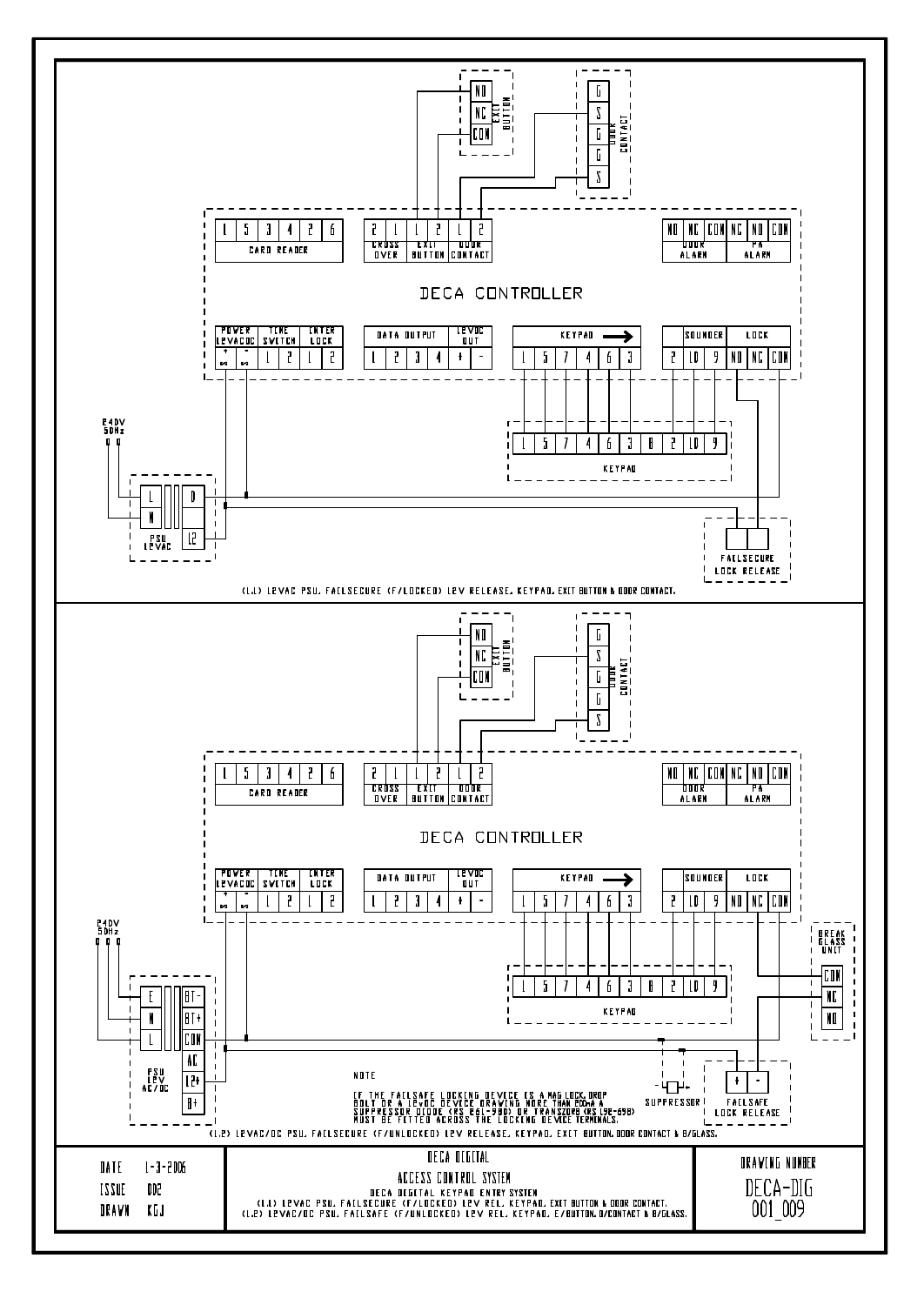